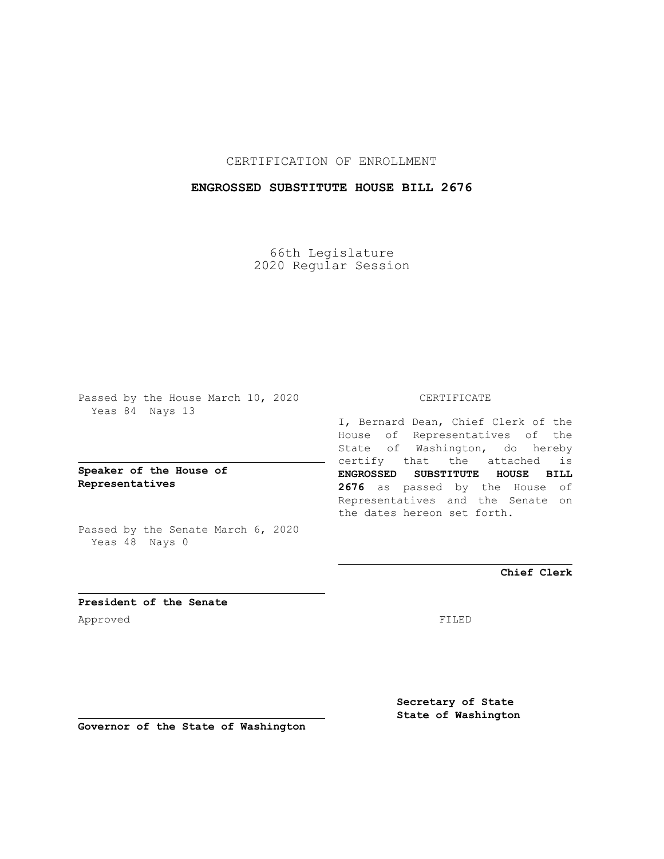CERTIFICATION OF ENROLLMENT

## **ENGROSSED SUBSTITUTE HOUSE BILL 2676**

66th Legislature 2020 Regular Session

Passed by the House March 10, 2020 Yeas 84 Nays 13

**Speaker of the House of Representatives**

Passed by the Senate March 6, 2020 Yeas 48 Nays 0

## CERTIFICATE

I, Bernard Dean, Chief Clerk of the House of Representatives of the State of Washington, do hereby certify that the attached is **ENGROSSED SUBSTITUTE HOUSE BILL 2676** as passed by the House of Representatives and the Senate on the dates hereon set forth.

**Chief Clerk**

**President of the Senate** Approved FILED

**Secretary of State State of Washington**

**Governor of the State of Washington**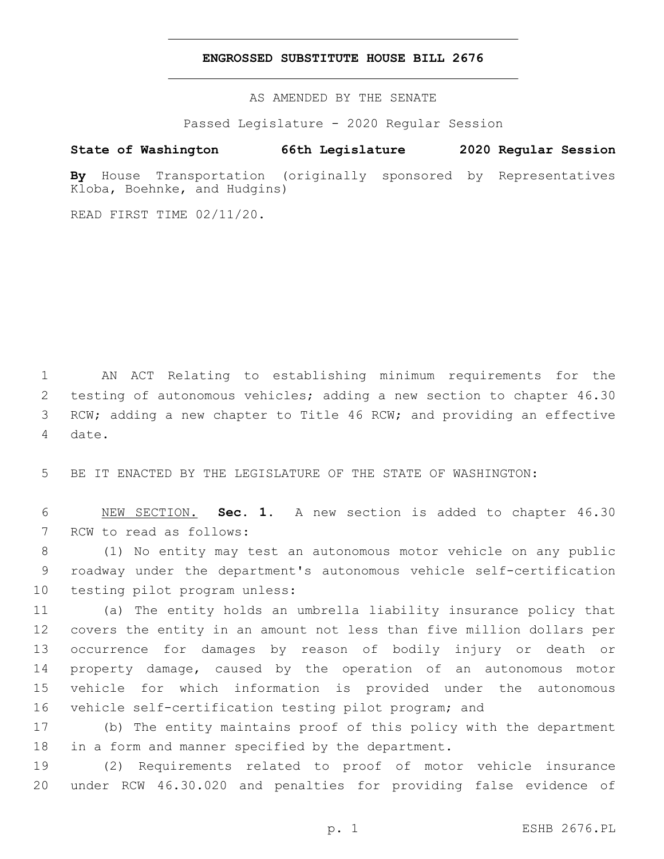## **ENGROSSED SUBSTITUTE HOUSE BILL 2676**

AS AMENDED BY THE SENATE

Passed Legislature - 2020 Regular Session

## **State of Washington 66th Legislature 2020 Regular Session**

**By** House Transportation (originally sponsored by Representatives Kloba, Boehnke, and Hudgins)

READ FIRST TIME 02/11/20.

 AN ACT Relating to establishing minimum requirements for the testing of autonomous vehicles; adding a new section to chapter 46.30 RCW; adding a new chapter to Title 46 RCW; and providing an effective 4 date.

5 BE IT ENACTED BY THE LEGISLATURE OF THE STATE OF WASHINGTON:

6 NEW SECTION. **Sec. 1.** A new section is added to chapter 46.30 7 RCW to read as follows:

8 (1) No entity may test an autonomous motor vehicle on any public 9 roadway under the department's autonomous vehicle self-certification 10 testing pilot program unless:

 (a) The entity holds an umbrella liability insurance policy that covers the entity in an amount not less than five million dollars per occurrence for damages by reason of bodily injury or death or property damage, caused by the operation of an autonomous motor vehicle for which information is provided under the autonomous vehicle self-certification testing pilot program; and

17 (b) The entity maintains proof of this policy with the department 18 in a form and manner specified by the department.

19 (2) Requirements related to proof of motor vehicle insurance 20 under RCW 46.30.020 and penalties for providing false evidence of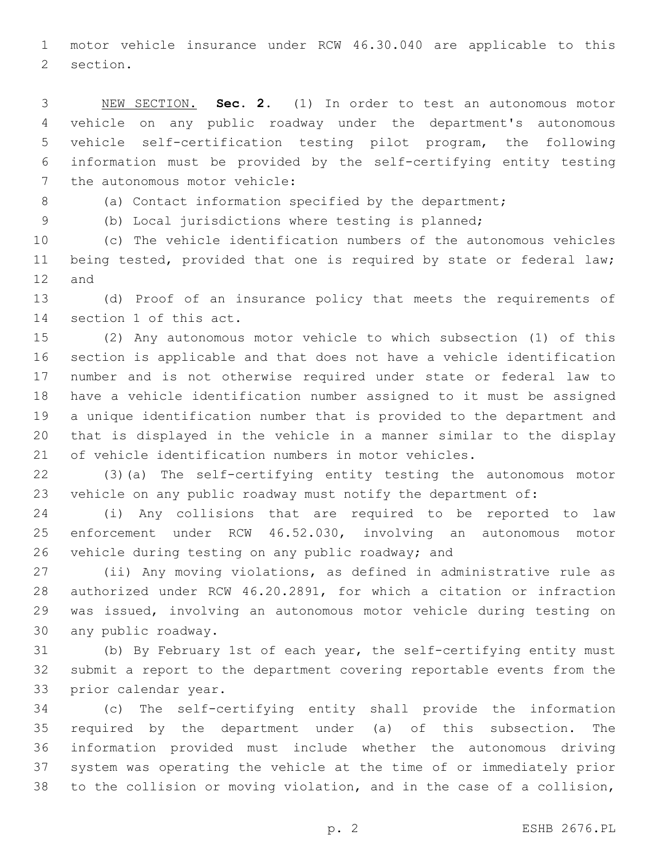motor vehicle insurance under RCW 46.30.040 are applicable to this 2 section.

 NEW SECTION. **Sec. 2.** (1) In order to test an autonomous motor vehicle on any public roadway under the department's autonomous vehicle self-certification testing pilot program, the following information must be provided by the self-certifying entity testing the autonomous motor vehicle:

8 (a) Contact information specified by the department;

(b) Local jurisdictions where testing is planned;

 (c) The vehicle identification numbers of the autonomous vehicles being tested, provided that one is required by state or federal law; 12 and

 (d) Proof of an insurance policy that meets the requirements of 14 section 1 of this act.

 (2) Any autonomous motor vehicle to which subsection (1) of this section is applicable and that does not have a vehicle identification number and is not otherwise required under state or federal law to have a vehicle identification number assigned to it must be assigned a unique identification number that is provided to the department and that is displayed in the vehicle in a manner similar to the display of vehicle identification numbers in motor vehicles.

 (3)(a) The self-certifying entity testing the autonomous motor vehicle on any public roadway must notify the department of:

 (i) Any collisions that are required to be reported to law enforcement under RCW 46.52.030, involving an autonomous motor 26 vehicle during testing on any public roadway; and

 (ii) Any moving violations, as defined in administrative rule as authorized under RCW 46.20.2891, for which a citation or infraction was issued, involving an autonomous motor vehicle during testing on 30 any public roadway.

 (b) By February 1st of each year, the self-certifying entity must submit a report to the department covering reportable events from the 33 prior calendar year.

 (c) The self-certifying entity shall provide the information required by the department under (a) of this subsection. The information provided must include whether the autonomous driving system was operating the vehicle at the time of or immediately prior to the collision or moving violation, and in the case of a collision,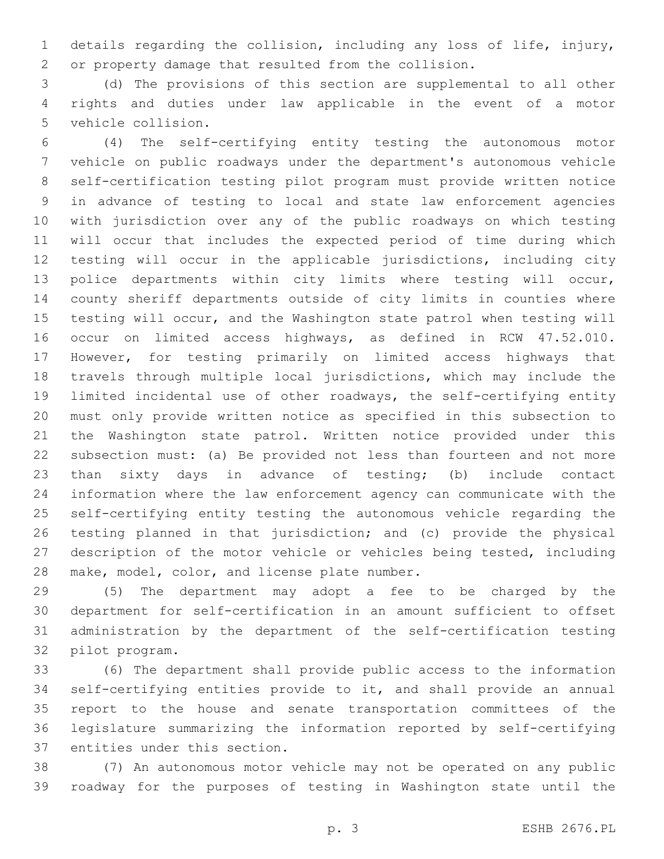details regarding the collision, including any loss of life, injury, or property damage that resulted from the collision.

 (d) The provisions of this section are supplemental to all other rights and duties under law applicable in the event of a motor 5 vehicle collision.

 (4) The self-certifying entity testing the autonomous motor vehicle on public roadways under the department's autonomous vehicle self-certification testing pilot program must provide written notice in advance of testing to local and state law enforcement agencies with jurisdiction over any of the public roadways on which testing will occur that includes the expected period of time during which testing will occur in the applicable jurisdictions, including city police departments within city limits where testing will occur, county sheriff departments outside of city limits in counties where testing will occur, and the Washington state patrol when testing will occur on limited access highways, as defined in RCW 47.52.010. However, for testing primarily on limited access highways that travels through multiple local jurisdictions, which may include the limited incidental use of other roadways, the self-certifying entity must only provide written notice as specified in this subsection to the Washington state patrol. Written notice provided under this subsection must: (a) Be provided not less than fourteen and not more than sixty days in advance of testing; (b) include contact information where the law enforcement agency can communicate with the self-certifying entity testing the autonomous vehicle regarding the testing planned in that jurisdiction; and (c) provide the physical description of the motor vehicle or vehicles being tested, including 28 make, model, color, and license plate number.

 (5) The department may adopt a fee to be charged by the department for self-certification in an amount sufficient to offset administration by the department of the self-certification testing 32 pilot program.

 (6) The department shall provide public access to the information self-certifying entities provide to it, and shall provide an annual report to the house and senate transportation committees of the legislature summarizing the information reported by self-certifying 37 entities under this section.

 (7) An autonomous motor vehicle may not be operated on any public roadway for the purposes of testing in Washington state until the